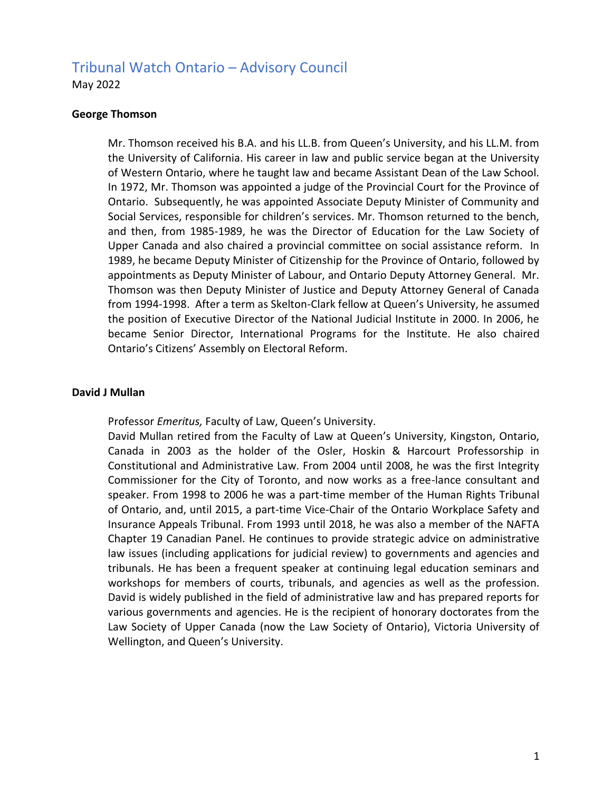# Tribunal Watch Ontario – Advisory Council

May 2022

### **George Thomson**

Mr. Thomson received his B.A. and his LL.B. from Queen's University, and his LL.M. from the University of California. His career in law and public service began at the University of Western Ontario, where he taught law and became Assistant Dean of the Law School. In 1972, Mr. Thomson was appointed a judge of the Provincial Court for the Province of Ontario. Subsequently, he was appointed Associate Deputy Minister of Community and Social Services, responsible for children's services. Mr. Thomson returned to the bench, and then, from 1985-1989, he was the Director of Education for the Law Society of Upper Canada and also chaired a provincial committee on social assistance reform. In 1989, he became Deputy Minister of Citizenship for the Province of Ontario, followed by appointments as Deputy Minister of Labour, and Ontario Deputy Attorney General. Mr. Thomson was then Deputy Minister of Justice and Deputy Attorney General of Canada from 1994-1998. After a term as Skelton-Clark fellow at Queen's University, he assumed the position of Executive Director of the National Judicial Institute in 2000. In 2006, he became Senior Director, International Programs for the Institute. He also chaired Ontario's Citizens' Assembly on Electoral Reform.

## **David J Mullan**

Professor *Emeritus,* Faculty of Law, Queen's University.

David Mullan retired from the Faculty of Law at Queen's University, Kingston, Ontario, Canada in 2003 as the holder of the Osler, Hoskin & Harcourt Professorship in Constitutional and Administrative Law. From 2004 until 2008, he was the first Integrity Commissioner for the City of Toronto, and now works as a free-lance consultant and speaker. From 1998 to 2006 he was a part-time member of the Human Rights Tribunal of Ontario, and, until 2015, a part-time Vice-Chair of the Ontario Workplace Safety and Insurance Appeals Tribunal. From 1993 until 2018, he was also a member of the NAFTA Chapter 19 Canadian Panel. He continues to provide strategic advice on administrative law issues (including applications for judicial review) to governments and agencies and tribunals. He has been a frequent speaker at continuing legal education seminars and workshops for members of courts, tribunals, and agencies as well as the profession. David is widely published in the field of administrative law and has prepared reports for various governments and agencies. He is the recipient of honorary doctorates from the Law Society of Upper Canada (now the Law Society of Ontario), Victoria University of Wellington, and Queen's University.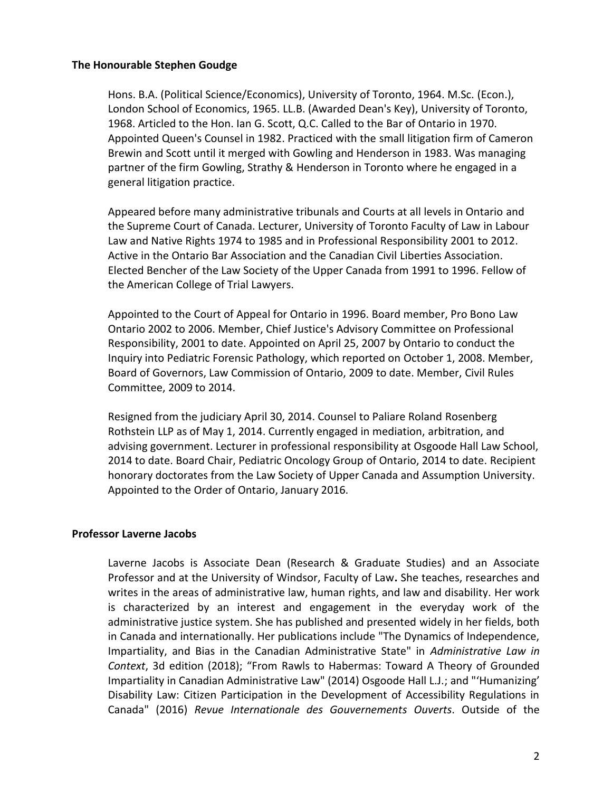#### **The Honourable Stephen Goudge**

Hons. B.A. (Political Science/Economics), University of Toronto, 1964. M.Sc. (Econ.), London School of Economics, 1965. LL.B. (Awarded Dean's Key), University of Toronto, 1968. Articled to the Hon. Ian G. Scott, Q.C. Called to the Bar of Ontario in 1970. Appointed Queen's Counsel in 1982. Practiced with the small litigation firm of Cameron Brewin and Scott until it merged with Gowling and Henderson in 1983. Was managing partner of the firm Gowling, Strathy & Henderson in Toronto where he engaged in a general litigation practice.

Appeared before many administrative tribunals and Courts at all levels in Ontario and the Supreme Court of Canada. Lecturer, University of Toronto Faculty of Law in Labour Law and Native Rights 1974 to 1985 and in Professional Responsibility 2001 to 2012. Active in the Ontario Bar Association and the Canadian Civil Liberties Association. Elected Bencher of the Law Society of the Upper Canada from 1991 to 1996. Fellow of the American College of Trial Lawyers.

Appointed to the Court of Appeal for Ontario in 1996. Board member, Pro Bono Law Ontario 2002 to 2006. Member, Chief Justice's Advisory Committee on Professional Responsibility, 2001 to date. Appointed on April 25, 2007 by Ontario to conduct the Inquiry into Pediatric Forensic Pathology, which reported on October 1, 2008. Member, Board of Governors, Law Commission of Ontario, 2009 to date. Member, Civil Rules Committee, 2009 to 2014.

Resigned from the judiciary April 30, 2014. Counsel to Paliare Roland Rosenberg Rothstein LLP as of May 1, 2014. Currently engaged in mediation, arbitration, and advising government. Lecturer in professional responsibility at Osgoode Hall Law School, 2014 to date. Board Chair, Pediatric Oncology Group of Ontario, 2014 to date. Recipient honorary doctorates from the Law Society of Upper Canada and Assumption University. Appointed to the Order of Ontario, January 2016.

## **Professor Laverne Jacobs**

Laverne Jacobs is Associate Dean (Research & Graduate Studies) and an Associate Professor and at the University of Windsor, Faculty of Law**.** She teaches, researches and writes in the areas of administrative law, human rights, and law and disability. Her work is characterized by an interest and engagement in the everyday work of the administrative justice system. She has published and presented widely in her fields, both in Canada and internationally. Her publications include "The Dynamics of Independence, Impartiality, and Bias in the Canadian Administrative State" in *Administrative Law in Context*, 3d edition (2018); "From Rawls to Habermas: Toward A Theory of Grounded Impartiality in Canadian Administrative Law" (2014) Osgoode Hall L.J.; and "'Humanizing' Disability Law: Citizen Participation in the Development of Accessibility Regulations in Canada" (2016) *Revue Internationale des Gouvernements Ouverts*. Outside of the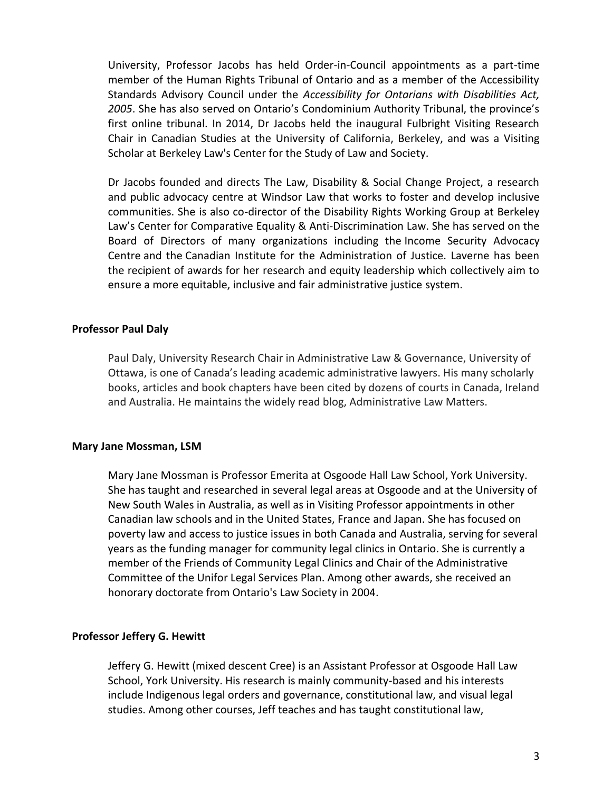University, Professor Jacobs has held Order-in-Council appointments as a part-time member of the Human Rights Tribunal of Ontario and as a member of the Accessibility Standards Advisory Council under the *Accessibility for Ontarians with Disabilities Act, 2005*. She has also served on Ontario's Condominium Authority Tribunal, the province's first online tribunal. In 2014, Dr Jacobs held the inaugural Fulbright Visiting Research Chair in Canadian Studies at the University of California, Berkeley, and was a Visiting Scholar at Berkeley Law's Center for the Study of Law and Society.

Dr Jacobs founded and directs The Law, Disability & Social Change Project, a research and public advocacy centre at Windsor Law that works to foster and develop inclusive communities. She is also co-director of the Disability Rights Working Group at Berkeley Law's Center for Comparative Equality & Anti-Discrimination Law. She has served on the Board of Directors of many organizations including the Income Security Advocacy Centre and the Canadian Institute for the Administration of Justice. Laverne has been the recipient of awards for her research and equity leadership which collectively aim to ensure a more equitable, inclusive and fair administrative justice system.

## **Professor Paul Daly**

Paul Daly, University Research Chair in Administrative Law & Governance, University of Ottawa, is one of Canada's leading academic administrative lawyers. His many scholarly books, articles and book chapters have been cited by dozens of courts in Canada, Ireland and Australia. He maintains the widely read blog, Administrative Law Matters.

#### **Mary Jane Mossman, LSM**

Mary Jane Mossman is Professor Emerita at Osgoode Hall Law School, York University. She has taught and researched in several legal areas at Osgoode and at the University of New South Wales in Australia, as well as in Visiting Professor appointments in other Canadian law schools and in the United States, France and Japan. She has focused on poverty law and access to justice issues in both Canada and Australia, serving for several years as the funding manager for community legal clinics in Ontario. She is currently a member of the Friends of Community Legal Clinics and Chair of the Administrative Committee of the Unifor Legal Services Plan. Among other awards, she received an honorary doctorate from Ontario's Law Society in 2004.

#### **Professor Jeffery G. Hewitt**

Jeffery G. Hewitt (mixed descent Cree) is an Assistant Professor at Osgoode Hall Law School, York University. His research is mainly community-based and his interests include Indigenous legal orders and governance, constitutional law, and visual legal studies. Among other courses, Jeff teaches and has taught constitutional law,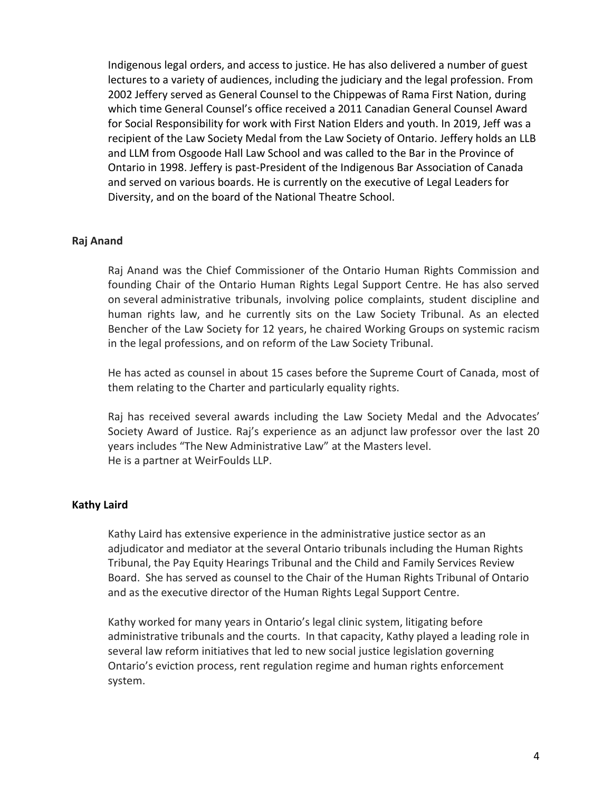Indigenous legal orders, and access to justice. He has also delivered a number of guest lectures to a variety of audiences, including the judiciary and the legal profession. From 2002 Jeffery served as General Counsel to the Chippewas of Rama First Nation, during which time General Counsel's office received a 2011 Canadian General Counsel Award for Social Responsibility for work with First Nation Elders and youth. In 2019, Jeff was a recipient of the Law Society Medal from the Law Society of Ontario. Jeffery holds an LLB and LLM from Osgoode Hall Law School and was called to the Bar in the Province of Ontario in 1998. Jeffery is past-President of the Indigenous Bar Association of Canada and served on various boards. He is currently on the executive of Legal Leaders for Diversity, and on the board of the National Theatre School.

## **Raj Anand**

Raj Anand was the Chief Commissioner of the Ontario Human Rights Commission and founding Chair of the Ontario Human Rights Legal Support Centre. He has also served on several administrative tribunals, involving police complaints, student discipline and human rights law, and he currently sits on the Law Society Tribunal. As an elected Bencher of the Law Society for 12 years, he chaired Working Groups on systemic racism in the legal professions, and on reform of the Law Society Tribunal.

He has acted as counsel in about 15 cases before the Supreme Court of Canada, most of them relating to the Charter and particularly equality rights.

Raj has received several awards including the Law Society Medal and the Advocates' Society Award of Justice. Raj's experience as an adjunct law professor over the last 20 years includes "The New Administrative Law" at the Masters level. He is a partner at WeirFoulds LLP.

## **Kathy Laird**

Kathy Laird has extensive experience in the administrative justice sector as an adjudicator and mediator at the several Ontario tribunals including the Human Rights Tribunal, the Pay Equity Hearings Tribunal and the Child and Family Services Review Board. She has served as counsel to the Chair of the Human Rights Tribunal of Ontario and as the executive director of the Human Rights Legal Support Centre.

Kathy worked for many years in Ontario's legal clinic system, litigating before administrative tribunals and the courts. In that capacity, Kathy played a leading role in several law reform initiatives that led to new social justice legislation governing Ontario's eviction process, rent regulation regime and human rights enforcement system.